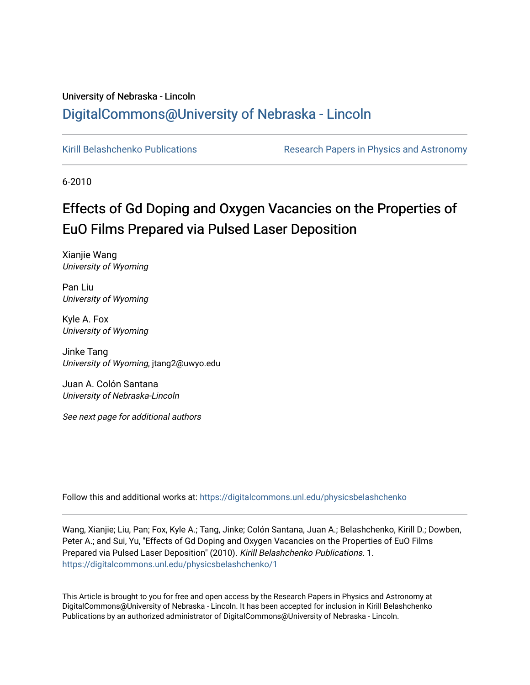## University of Nebraska - Lincoln [DigitalCommons@University of Nebraska - Lincoln](https://digitalcommons.unl.edu/)

[Kirill Belashchenko Publications](https://digitalcommons.unl.edu/physicsbelashchenko) **Research Papers in Physics and Astronomy** 

6-2010

# Effects of Gd Doping and Oxygen Vacancies on the Properties of EuO Films Prepared via Pulsed Laser Deposition

Xianjie Wang University of Wyoming

Pan Liu University of Wyoming

Kyle A. Fox University of Wyoming

Jinke Tang University of Wyoming, jtang2@uwyo.edu

Juan A. Colón Santana University of Nebraska-Lincoln

See next page for additional authors

Follow this and additional works at: [https://digitalcommons.unl.edu/physicsbelashchenko](https://digitalcommons.unl.edu/physicsbelashchenko?utm_source=digitalcommons.unl.edu%2Fphysicsbelashchenko%2F1&utm_medium=PDF&utm_campaign=PDFCoverPages) 

Wang, Xianjie; Liu, Pan; Fox, Kyle A.; Tang, Jinke; Colón Santana, Juan A.; Belashchenko, Kirill D.; Dowben, Peter A.; and Sui, Yu, "Effects of Gd Doping and Oxygen Vacancies on the Properties of EuO Films Prepared via Pulsed Laser Deposition" (2010). Kirill Belashchenko Publications. 1. [https://digitalcommons.unl.edu/physicsbelashchenko/1](https://digitalcommons.unl.edu/physicsbelashchenko/1?utm_source=digitalcommons.unl.edu%2Fphysicsbelashchenko%2F1&utm_medium=PDF&utm_campaign=PDFCoverPages) 

This Article is brought to you for free and open access by the Research Papers in Physics and Astronomy at DigitalCommons@University of Nebraska - Lincoln. It has been accepted for inclusion in Kirill Belashchenko Publications by an authorized administrator of DigitalCommons@University of Nebraska - Lincoln.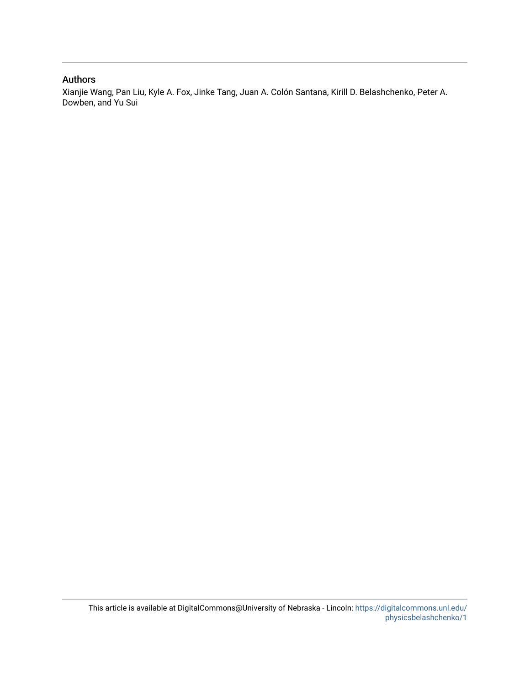### Authors

Xianjie Wang, Pan Liu, Kyle A. Fox, Jinke Tang, Juan A. Colón Santana, Kirill D. Belashchenko, Peter A. Dowben, and Yu Sui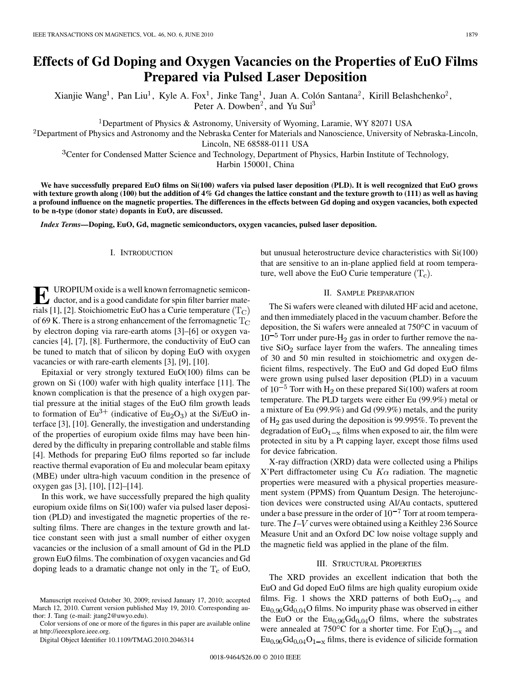## **Effects of Gd Doping and Oxygen Vacancies on the Properties of EuO Films Prepared via Pulsed Laser Deposition**

Xianjie Wang<sup>1</sup>, Pan Liu<sup>1</sup>, Kyle A. Fox<sup>1</sup>, Jinke Tang<sup>1</sup>, Juan A. Colón Santana<sup>2</sup>, Kirill Belashchenko<sup>2</sup>, Peter A. Dowben<sup>2</sup>, and Yu Sui<sup>3</sup>

<sup>1</sup>Department of Physics & Astronomy, University of Wyoming, Laramie, WY 82071 USA

<sup>2</sup>Department of Physics and Astronomy and the Nebraska Center for Materials and Nanoscience, University of Nebraska-Lincoln,

Lincoln, NE 68588-0111 USA

<sup>3</sup>Center for Condensed Matter Science and Technology, Department of Physics, Harbin Institute of Technology,

Harbin 150001, China

**We have successfully prepared EuO films on Si(100) wafers via pulsed laser deposition (PLD). It is well recognized that EuO grows with texture growth along (100) but the addition of 4% Gd changes the lattice constant and the texture growth to (111) as well as having a profound influence on the magnetic properties. The differences in the effects between Gd doping and oxygen vacancies, both expected to be n-type (donor state) dopants in EuO, are discussed.**

*Index Terms—***Doping, EuO, Gd, magnetic semiconductors, oxygen vacancies, pulsed laser deposition.**

#### I. INTRODUCTION

**E** UROPIUM oxide is a well known ferromagnetic semicon-<br>ductor, and is a good candidate for spin filter barrier mate-<br>right [11, [2]. Stoighiometric EuQ has a Guria temperature (T<sub>e</sub>). rials [1], [2]. Stoichiometric EuO has a Curie temperature  $(T_C)$ of 69 K. There is a strong enhancement of the ferromagnetic  $T_{\text{C}}$ by electron doping via rare-earth atoms [3]–[6] or oxygen vacancies [4], [7], [8]. Furthermore, the conductivity of EuO can be tuned to match that of silicon by doping EuO with oxygen vacancies or with rare-earth elements [3], [9], [10].

Epitaxial or very strongly textured  $EuO(100)$  films can be grown on Si (100) wafer with high quality interface [11]. The known complication is that the presence of a high oxygen partial pressure at the initial stages of the EuO film growth leads to formation of  $Eu^{3+}$  (indicative of  $Eu_2O_3$ ) at the Si/EuO interface [3], [10]. Generally, the investigation and understanding of the properties of europium oxide films may have been hindered by the difficulty in preparing controllable and stable films [4]. Methods for preparing EuO films reported so far include reactive thermal evaporation of Eu and molecular beam epitaxy (MBE) under ultra-high vacuum condition in the presence of oxygen gas [3], [10], [12]–[14].

In this work, we have successfully prepared the high quality europium oxide films on Si(100) wafer via pulsed laser deposition (PLD) and investigated the magnetic properties of the resulting films. There are changes in the texture growth and lattice constant seen with just a small number of either oxygen vacancies or the inclusion of a small amount of Gd in the PLD grown EuO films. The combination of oxygen vacancies and Gd doping leads to a dramatic change not only in the  $T_c$  of EuO,

Color versions of one or more of the figures in this paper are available online at http://ieeexplore.ieee.org.

Digital Object Identifier 10.1109/TMAG.2010.2046314

but unusual heterostructure device characteristics with Si(100) that are sensitive to an in-plane applied field at room temperature, well above the EuO Curie temperature  $(T_c)$ .

#### II. SAMPLE PREPARATION

The Si wafers were cleaned with diluted HF acid and acetone, and then immediately placed in the vacuum chamber. Before the deposition, the Si wafers were annealed at 750°C in vacuum of  $10^{-5}$  Torr under pure-H<sub>2</sub> gas in order to further remove the native  $SiO<sub>2</sub>$  surface layer from the wafers. The annealing times of 30 and 50 min resulted in stoichiometric and oxygen deficient films, respectively. The EuO and Gd doped EuO films were grown using pulsed laser deposition (PLD) in a vacuum of  $10^{-5}$  Torr with H<sub>2</sub> on these prepared Si(100) wafers at room temperature. The PLD targets were either Eu (99.9%) metal or a mixture of Eu (99.9%) and Gd (99.9%) metals, and the purity of  $H_2$  gas used during the deposition is 99.995%. To prevent the degradation of  $EuO<sub>1-x</sub>$  films when exposed to air, the film were protected in situ by a Pt capping layer, except those films used for device fabrication.

X-ray diffraction (XRD) data were collected using a Philips X'Pert diffractometer using Cu  $K\alpha$  radiation. The magnetic properties were measured with a physical properties measurement system (PPMS) from Quantum Design. The heterojunction devices were constructed using Al/Au contacts, sputtered under a base pressure in the order of  $10^{-7}$  Torr at room temperature. The  $I-V$  curves were obtained using a Keithley 236 Source Measure Unit and an Oxford DC low noise voltage supply and the magnetic field was applied in the plane of the film.

#### III. STRUCTURAL PROPERTIES

The XRD provides an excellent indication that both the EuO and Gd doped EuO films are high quality europium oxide films. Fig. 1 shows the XRD patterns of both  $EuO<sub>1-x</sub>$  and  $Eu<sub>0.96</sub>Gd<sub>0.04</sub>O$  films. No impurity phase was observed in either the EuO or the  $Eu<sub>0.96</sub>Gd<sub>0.04</sub>O$  films, where the substrates were annealed at 750 $\mathrm{^{\circ}C}$  for a shorter time. For  $\mathrm{EuO}_{1-x}$  and  $Eu_{0.96}Gd_{0.04}O_{1-x}$  films, there is evidence of silicide formation

Manuscript received October 30, 2009; revised January 17, 2010; accepted March 12, 2010. Current version published May 19, 2010. Corresponding author: J. Tang (e-mail: jtang2@uwyo.edu).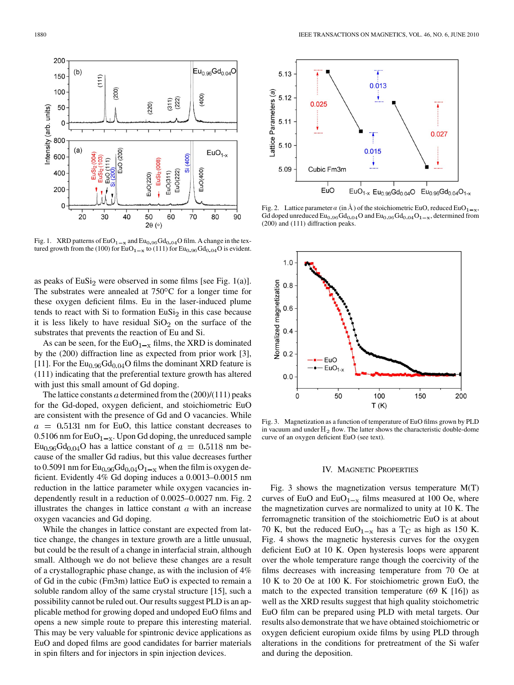as peaks of  $EuSi<sub>2</sub>$  were observed in some films [see Fig. 1(a)]. The substrates were annealed at  $750^{\circ}$ C for a longer time for these oxygen deficient films. Eu in the laser-induced plume tends to react with Si to formation  $EuSi<sub>2</sub>$  in this case because

Fig. 1. XRD patterns of  $EuO_{1-x}$  and  $Eu_{0.96}Gd_{0.04}O$  film. A change in the textured growth from the (100) for EuO<sub>1 -x</sub> to (111) for Eu<sub>0.96</sub>Gd<sub>0.04</sub>O is evident.

substrates that prevents the reaction of Eu and Si. As can be seen, for the  $EuO_{1-x}$  films, the XRD is dominated by the (200) diffraction line as expected from prior work [3], [11]. For the  $Eu<sub>0.96</sub>Gd<sub>0.04</sub>O$  films the dominant XRD feature is (111) indicating that the preferential texture growth has altered with just this small amount of Gd doping.

it is less likely to have residual  $SiO<sub>2</sub>$  on the surface of the

The lattice constants  $a$  determined from the  $(200)/(111)$  peaks for the Gd-doped, oxygen deficient, and stoichiometric EuO are consistent with the presence of Gd and O vacancies. While  $a = 0.5131$  nm for EuO, this lattice constant decreases to 0.5106 nm for  $EuO<sub>1-x</sub>$ . Upon Gd doping, the unreduced sample  $Eu_{0.96}Gd_{0.04}O$  has a lattice constant of  $a=0.5118$  nm because of the smaller Gd radius, but this value decreases further to 0.5091 nm for  $Eu_{0.96}Gd_{0.04}O_{1-x}$  when the film is oxygen deficient. Evidently 4% Gd doping induces a 0.0013–0.0015 nm reduction in the lattice parameter while oxygen vacancies independently result in a reduction of 0.0025–0.0027 nm. Fig. 2 illustrates the changes in lattice constant  $a$  with an increase oxygen vacancies and Gd doping.

While the changes in lattice constant are expected from lattice change, the changes in texture growth are a little unusual, but could be the result of a change in interfacial strain, although small. Although we do not believe these changes are a result of a crystallographic phase change, as with the inclusion of 4% of Gd in the cubic (Fm3m) lattice EuO is expected to remain a soluble random alloy of the same crystal structure [15], such a possibility cannot be ruled out. Our results suggest PLD is an applicable method for growing doped and undoped EuO films and opens a new simple route to prepare this interesting material. This may be very valuable for spintronic device applications as EuO and doped films are good candidates for barrier materials in spin filters and for injectors in spin injection devices.



0.015



Fig. 3. Magnetization as a function of temperature of EuO films grown by PLD in vacuum and under  $H_2$  flow. The latter shows the characteristic double-dome curve of an oxygen deficient EuO (see text).

#### IV. MAGNETIC PROPERTIES

Fig. 3 shows the magnetization versus temperature  $M(T)$ curves of EuO and  $EuO_{1-x}$  films measured at 100 Oe, where the magnetization curves are normalized to unity at 10 K. The ferromagnetic transition of the stoichiometric EuO is at about 70 K, but the reduced EuO<sub>1-x</sub> has a T<sub>C</sub> as high as 150 K. Fig. 4 shows the magnetic hysteresis curves for the oxygen deficient EuO at 10 K. Open hysteresis loops were apparent over the whole temperature range though the coercivity of the films decreases with increasing temperature from 70 Oe at 10 K to 20 Oe at 100 K. For stoichiometric grown EuO, the match to the expected transition temperature  $(69 \text{ K} \mid 16)$  as well as the XRD results suggest that high quality stoichometric EuO film can be prepared using PLD with metal targets. Our results also demonstrate that we have obtained stoichiometric or oxygen deficient europium oxide films by using PLD through alterations in the conditions for pretreatment of the Si wafer and during the deposition.



 $0.027$ 

 $EuO_{1-x}$  Eu<sub>0.96</sub>Gd<sub>0.04</sub>O Eu<sub>0.96</sub>Gd<sub>0.04</sub>O<sub>1-x</sub>

 $0.013$ 

5.13

 $5.12$ 

 $5.11$ 

5.10

5.09

 $0.025$ 

Cubic Fm3m

EuO

Lattice Parameters (a)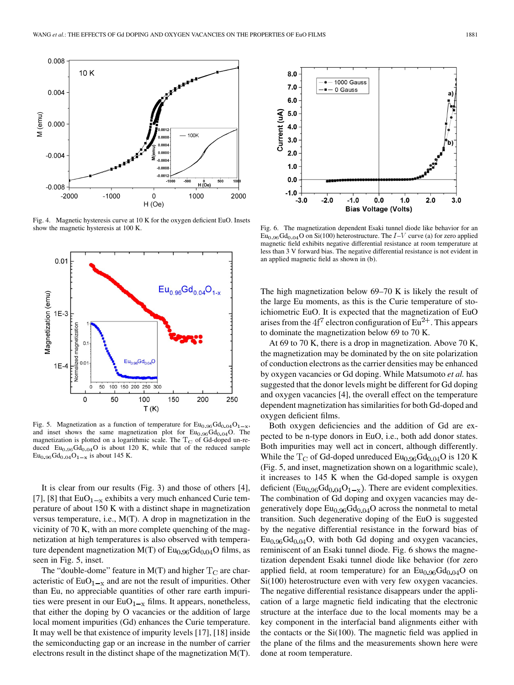

Fig. 4. Magnetic hysteresis curve at 10 K for the oxygen deficient EuO. Insets show the magnetic hysteresis at 100 K.



Fig. 5. Magnetization as a function of temperature for  $Eu_{0.96}Gd_{0.04}O_{1-x}$ , and inset shows the same magnetization plot for  $Eu<sub>0.96</sub>Gd<sub>0.04</sub>O$ . The magnetization is plotted on a logarithmic scale. The  $T_C$  of Gd-doped un-reduced  $Eu_{0.96}Gd_{0.04}O$  is about 120 K, while that of the reduced sample  $Eu_{0.96}Gd_{0.04}O_{1-x}$  is about 145 K.

It is clear from our results (Fig. 3) and those of others [4], [7], [8] that  $EuO<sub>1-x</sub>$  exhibits a very much enhanced Curie temperature of about 150 K with a distinct shape in magnetization versus temperature, i.e., M(T). A drop in magnetization in the vicinity of 70 K, with an more complete quenching of the magnetization at high temperatures is also observed with temperature dependent magnetization  $M(T)$  of  $Eu<sub>0.96</sub>Gd<sub>0.04</sub>O$  films, as seen in Fig. 5, inset.

The "double-dome" feature in  $M(T)$  and higher  $T_C$  are characteristic of  $EuO_{1-x}$  and are not the result of impurities. Other than Eu, no appreciable quantities of other rare earth impurities were present in our  $EuO<sub>1-x</sub>$  films. It appears, nonetheless, that either the doping by O vacancies or the addition of large local moment impurities (Gd) enhances the Curie temperature. It may well be that existence of impurity levels [17], [18] inside the semiconducting gap or an increase in the number of carrier electrons result in the distinct shape of the magnetization M(T).



Fig. 6. The magnetization dependent Esaki tunnel diode like behavior for an  $\overline{\text{Eu}_{0.96}\text{Gd}_{0.04}\text{O}}$  on Si(100) heterostructure. The  $I-V$  curve (a) for zero applied magnetic field exhibits negative differential resistance at room temperature at less than 3 V forward bias. The negative differential resistance is not evident in an applied magnetic field as shown in (b).

The high magnetization below 69–70 K is likely the result of the large Eu moments, as this is the Curie temperature of stoichiometric EuO. It is expected that the magnetization of EuO arises from the  $4f^7$  electron configuration of  $Eu^{2+}$ . This appears to dominate the magnetization below 69 to 70 K.

At 69 to 70 K, there is a drop in magnetization. Above 70 K, the magnetization may be dominated by the on site polarization of conduction electrons as the carrier densities may be enhanced by oxygen vacancies or Gd doping. While Matsumoto *et al.* has suggested that the donor levels might be different for Gd doping and oxygen vacancies [4], the overall effect on the temperature dependent magnetization has similarities for both Gd-doped and oxygen deficient films.

Both oxygen deficiencies and the addition of Gd are expected to be n-type donors in EuO, i.e., both add donor states. Both impurities may well act in concert, although differently. While the  $T_C$  of Gd-doped unreduced  $Eu_{0.96}Gd_{0.04}O$  is 120 K (Fig. 5, and inset, magnetization shown on a logarithmic scale), it increases to 145 K when the Gd-doped sample is oxygen deficient  $(Eu_{0.96}Gd_{0.04}O_{1-x})$ . There are evident complexities. The combination of Gd doping and oxygen vacancies may degeneratively dope  $Eu<sub>0.96</sub>Gd<sub>0.04</sub>O$  across the nonmetal to metal transition. Such degenerative doping of the EuO is suggested by the negative differential resistance in the forward bias of  $Eu<sub>0.96</sub>Gd<sub>0.04</sub>O$ , with both Gd doping and oxygen vacancies, reminiscent of an Esaki tunnel diode. Fig. 6 shows the magnetization dependent Esaki tunnel diode like behavior (for zero applied field, at room temperature) for an  $Eu<sub>0.96</sub>Gd<sub>0.04</sub>O$  on Si(100) heterostructure even with very few oxygen vacancies. The negative differential resistance disappears under the application of a large magnetic field indicating that the electronic structure at the interface due to the local moments may be a key component in the interfacial band alignments either with the contacts or the Si(100). The magnetic field was applied in the plane of the films and the measurements shown here were done at room temperature.